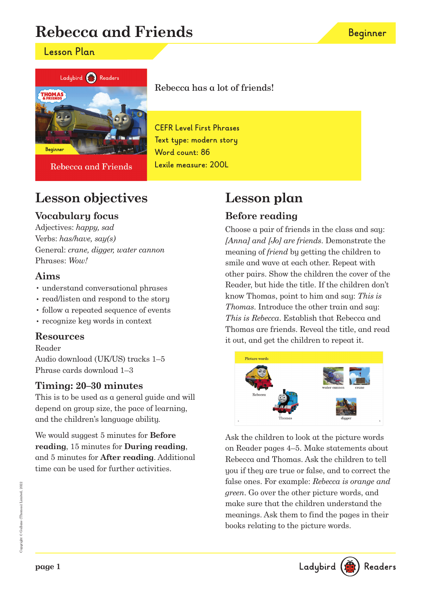# **Rebecca and Friends**

### **Lesson Plan**



Rebecca and Friends

# **Lesson objectives**

## **Vocabulary focus**

Adjectives: happy, sad Verbs: has/have, say(s) General: crane, digger, water cannon Phrases: Wow!

### **Aims**

- understand conversational phrases
- read/listen and respond to the story
- follow a repeated sequence of events
- recognize key words in context

### **Resources**

Reader

Audio download (UK/US) tracks 1–5 Phrase cards download 1–3

### **Timing: 20–30 minutes**

This is to be used as a general guide and will depend on group size, the pace of learning, and the children's language ability.

We would suggest 5 minutes for **Before reading**, 15 minutes for **During reading**, and 5 minutes for **After reading**. Additional time can be used for further activities.

# **Lesson plan**

## **Before reading**

Choose a pair of friends in the class and say: [Anna] and [Jo] are friends. Demonstrate the meaning of friend by getting the children to smile and wave at each other. Repeat with other pairs. Show the children the cover of the Reader, but hide the title. If the children don't know Thomas, point to him and say: This is Thomas. Introduce the other train and say: This is Rebecca. Establish that Rebecca and Thomas are friends. Reveal the title, and read it out, and get the children to repeat it.



Ask the children to look at the picture words on Reader pages 4–5. Make statements about Rebecca and Thomas. Ask the children to tell you if they are true or false, and to correct the false ones. For example: Rebecca is orange and green. Go over the other picture words, and make sure that the children understand the meanings. Ask them to find the pages in their books relating to the picture words.





**CEFR Level First Phrases Text type: modern story Word count: 86 Lexile measure: 200L**